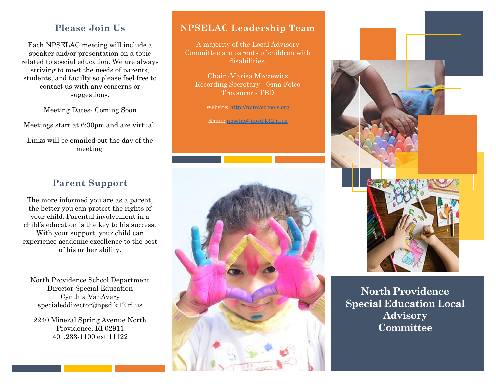#### **Please Join Us**

Each NPSELAC meeting will include a speaker and/or presentation on a topic related to special education. We are always striving to meet the needs of parents, students, and faculty so please feel free to contact us with any concerns or suggestions.

Meeting Dates- Coming Soon

Meetings start at 6:30pm and are virtual.

Links will be emailed out the day of the meeting.

### **Parent Support**

The more informed you are as a parent, the better you can protect the rights of your child. Parental involvement in a child's education is the key to his success. With your support, your child can experience academic excellence to the best of his or her ability.

North Providence School Department Director Special Education Cynthia VanAvery specialeddirector@npsd.k12.ri.us

2240 Mineral Spring Avenue North Providence, RI 02911 401.233-1100 ext 11122

#### **NPSELAC Leadership Team**

A majority of the Local Advisory Committee are parents of children with disabilities.

Chair -Marisa Mrozewicz Recording Secretary - Gina Folco Treasurer - TBD

Website[: http://nprovschools.org](http://nprovschools.org/)

Email: [npselac@npsd.k12.ri.us](mailto:npselac@npsd.k12.ri.us)



**North Providence Special Education Local Advisory Committee**